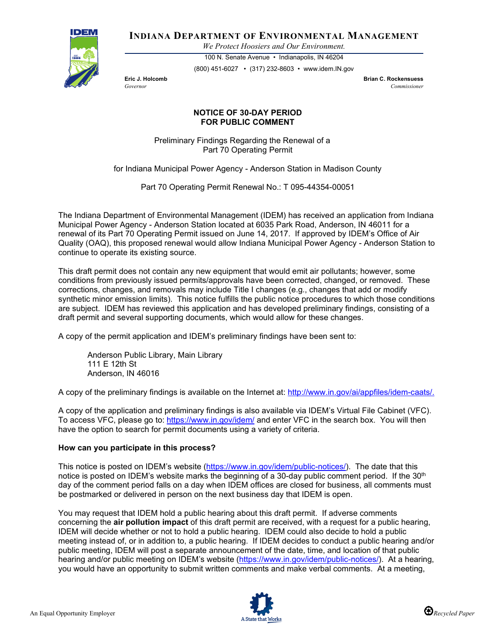

**INDIANA DEPARTMENT OF ENVIRONMENTAL MANAGEMENT**

*We Protect Hoosiers and Our Environment.*

100 N. Senate Avenue • Indianapolis, IN 46204 (800) 451-6027 • (317) 232-8603 • www.idem.IN.gov

**Eric J. Holcomb Brian C. Rockensuess** *Governor Commissioner* 

## **NOTICE OF 30-DAY PERIOD FOR PUBLIC COMMENT**

Preliminary Findings Regarding the Renewal of a Part 70 Operating Permit

for Indiana Municipal Power Agency - Anderson Station in Madison County

Part 70 Operating Permit Renewal No.: T 095-44354-00051

The Indiana Department of Environmental Management (IDEM) has received an application from Indiana Municipal Power Agency - Anderson Station located at 6035 Park Road, Anderson, IN 46011 for a renewal of its Part 70 Operating Permit issued on June 14, 2017. If approved by IDEM's Office of Air Quality (OAQ), this proposed renewal would allow Indiana Municipal Power Agency - Anderson Station to continue to operate its existing source.

This draft permit does not contain any new equipment that would emit air pollutants; however, some conditions from previously issued permits/approvals have been corrected, changed, or removed. These corrections, changes, and removals may include Title I changes (e.g., changes that add or modify synthetic minor emission limits). This notice fulfills the public notice procedures to which those conditions are subject. IDEM has reviewed this application and has developed preliminary findings, consisting of a draft permit and several supporting documents, which would allow for these changes.

A copy of the permit application and IDEM's preliminary findings have been sent to:

Anderson Public Library, Main Library 111 E 12th St Anderson, IN 46016

A copy of the preliminary findings is available on the Internet at: [http://www.in.gov/ai/appfiles/idem-caats/.](http://www.in.gov/ai/appfiles/idem-caats/)

A copy of the application and preliminary findings is also available via IDEM's Virtual File Cabinet (VFC). To access VFC, please go to:<https://www.in.gov/idem/> and enter VFC in the search box. You will then have the option to search for permit documents using a variety of criteria.

## **How can you participate in this process?**

This notice is posted on IDEM's website [\(https://www.in.gov/idem/public-notices/\)](https://www.in.gov/idem/public-notices/). The date that this notice is posted on IDEM's website marks the beginning of a 30-day public comment period. If the  $30<sup>th</sup>$ day of the comment period falls on a day when IDEM offices are closed for business, all comments must be postmarked or delivered in person on the next business day that IDEM is open.

You may request that IDEM hold a public hearing about this draft permit. If adverse comments concerning the **air pollution impact** of this draft permit are received, with a request for a public hearing, IDEM will decide whether or not to hold a public hearing. IDEM could also decide to hold a public meeting instead of, or in addition to, a public hearing. If IDEM decides to conduct a public hearing and/or public meeting, IDEM will post a separate announcement of the date, time, and location of that public hearing and/or public meeting on IDEM's website [\(https://www.in.gov/idem/public-notices/\)](https://www.in.gov/idem/public-notices/). At a hearing, you would have an opportunity to submit written comments and make verbal comments. At a meeting,